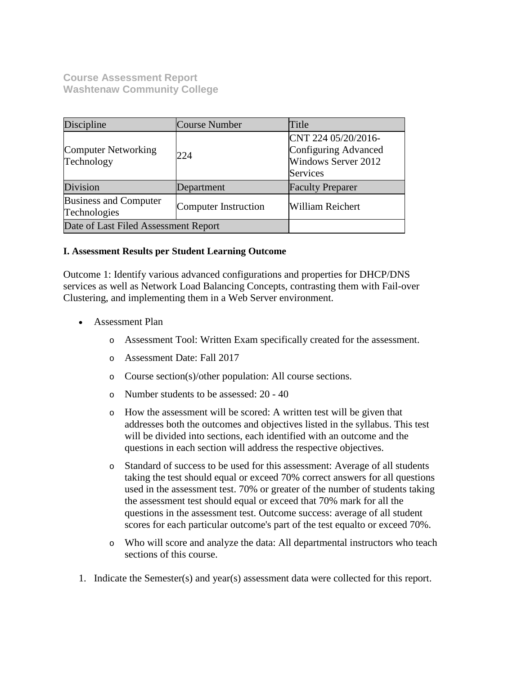**Course Assessment Report Washtenaw Community College**

| Discipline                                   | <b>Course Number</b> | Title                                                                                        |  |
|----------------------------------------------|----------------------|----------------------------------------------------------------------------------------------|--|
| Computer Networking<br>Technology            | 224                  | CNT 224 05/20/2016-<br>Configuring Advanced<br><b>Windows Server 2012</b><br><b>Services</b> |  |
| Division                                     | Department           | <b>Faculty Preparer</b>                                                                      |  |
| <b>Business and Computer</b><br>Technologies | Computer Instruction | <b>William Reichert</b>                                                                      |  |
| Date of Last Filed Assessment Report         |                      |                                                                                              |  |

## **I. Assessment Results per Student Learning Outcome**

Outcome 1: Identify various advanced configurations and properties for DHCP/DNS services as well as Network Load Balancing Concepts, contrasting them with Fail-over Clustering, and implementing them in a Web Server environment.

- Assessment Plan
	- o Assessment Tool: Written Exam specifically created for the assessment.
	- o Assessment Date: Fall 2017
	- o Course section(s)/other population: All course sections.
	- o Number students to be assessed: 20 40
	- o How the assessment will be scored: A written test will be given that addresses both the outcomes and objectives listed in the syllabus. This test will be divided into sections, each identified with an outcome and the questions in each section will address the respective objectives.
	- o Standard of success to be used for this assessment: Average of all students taking the test should equal or exceed 70% correct answers for all questions used in the assessment test. 70% or greater of the number of students taking the assessment test should equal or exceed that 70% mark for all the questions in the assessment test. Outcome success: average of all student scores for each particular outcome's part of the test equalto or exceed 70%.
	- o Who will score and analyze the data: All departmental instructors who teach sections of this course.
- 1. Indicate the Semester(s) and year(s) assessment data were collected for this report.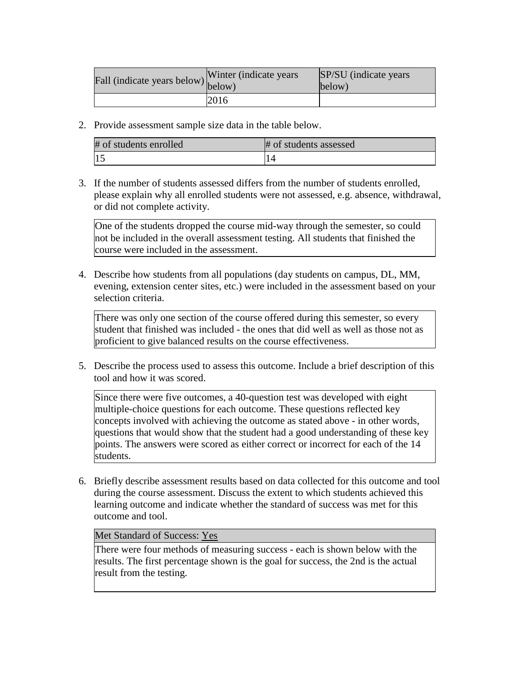| Fall (indicate years below) below) | Winter (indicate years) | <b>SP/SU</b> (indicate years)<br>below) |
|------------------------------------|-------------------------|-----------------------------------------|
|                                    | 2016                    |                                         |

2. Provide assessment sample size data in the table below.

| # of students enrolled | # of students assessed |
|------------------------|------------------------|
|                        |                        |

3. If the number of students assessed differs from the number of students enrolled, please explain why all enrolled students were not assessed, e.g. absence, withdrawal, or did not complete activity.

One of the students dropped the course mid-way through the semester, so could not be included in the overall assessment testing. All students that finished the course were included in the assessment.

4. Describe how students from all populations (day students on campus, DL, MM, evening, extension center sites, etc.) were included in the assessment based on your selection criteria.

There was only one section of the course offered during this semester, so every student that finished was included - the ones that did well as well as those not as proficient to give balanced results on the course effectiveness.

5. Describe the process used to assess this outcome. Include a brief description of this tool and how it was scored.

Since there were five outcomes, a 40-question test was developed with eight multiple-choice questions for each outcome. These questions reflected key concepts involved with achieving the outcome as stated above - in other words, questions that would show that the student had a good understanding of these key points. The answers were scored as either correct or incorrect for each of the 14 students.

6. Briefly describe assessment results based on data collected for this outcome and tool during the course assessment. Discuss the extent to which students achieved this learning outcome and indicate whether the standard of success was met for this outcome and tool.

Met Standard of Success: Yes

There were four methods of measuring success - each is shown below with the results. The first percentage shown is the goal for success, the 2nd is the actual result from the testing.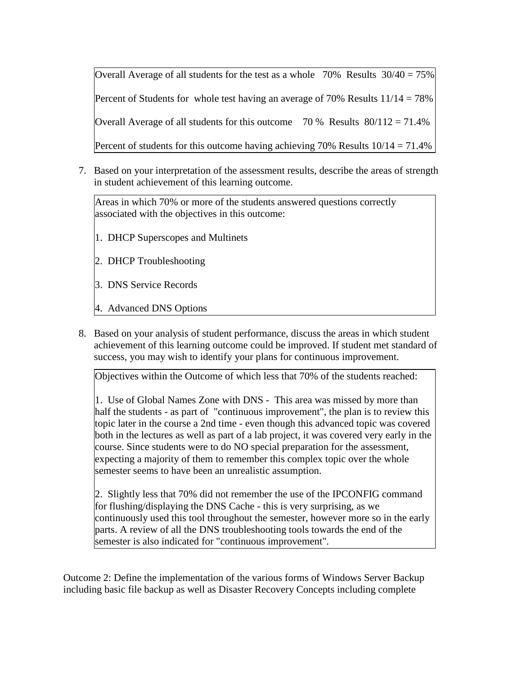Overall Average of all students for the test as a whole  $70\%$  Results  $30/40 = 75\%$ Percent of Students for whole test having an average of 70% Results  $11/14 = 78\%$ Overall Average of all students for this outcome  $70\%$  Results  $80/112 = 71.4\%$ Percent of students for this outcome having achieving 70% Results  $10/14 = 71.4\%$ 

7. Based on your interpretation of the assessment results, describe the areas of strength in student achievement of this learning outcome.

Areas in which 70% or more of the students answered questions correctly associated with the objectives in this outcome:

- 1. DHCP Superscopes and Multinets
- 2. DHCP Troubleshooting
- 3. DNS Service Records
- 4. Advanced DNS Options
- 8. Based on your analysis of student performance, discuss the areas in which student achievement of this learning outcome could be improved. If student met standard of success, you may wish to identify your plans for continuous improvement.

Objectives within the Outcome of which less that 70% of the students reached:

1. Use of Global Names Zone with DNS - This area was missed by more than half the students - as part of "continuous improvement", the plan is to review this topic later in the course a 2nd time - even though this advanced topic was covered both in the lectures as well as part of a lab project, it was covered very early in the course. Since students were to do NO special preparation for the assessment, expecting a majority of them to remember this complex topic over the whole semester seems to have been an unrealistic assumption.

2. Slightly less that 70% did not remember the use of the IPCONFIG command for flushing/displaying the DNS Cache - this is very surprising, as we continuously used this tool throughout the semester, however more so in the early parts. A review of all the DNS troubleshooting tools towards the end of the semester is also indicated for "continuous improvement".

Outcome 2: Define the implementation of the various forms of Windows Server Backup including basic file backup as well as Disaster Recovery Concepts including complete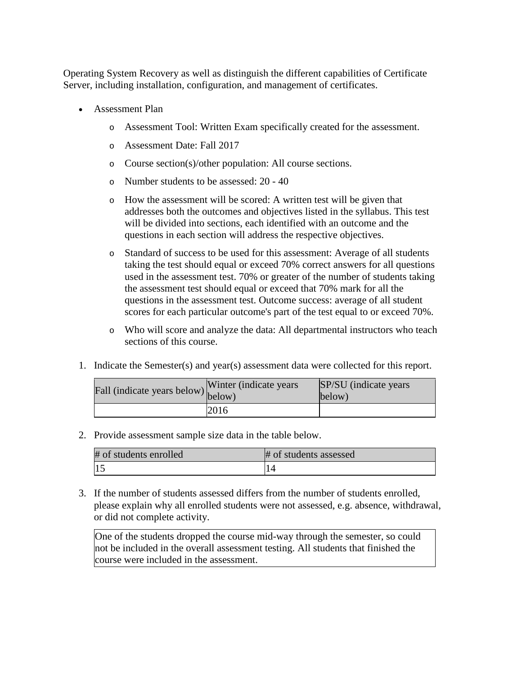Operating System Recovery as well as distinguish the different capabilities of Certificate Server, including installation, configuration, and management of certificates.

- Assessment Plan
	- o Assessment Tool: Written Exam specifically created for the assessment.
	- o Assessment Date: Fall 2017
	- o Course section(s)/other population: All course sections.
	- o Number students to be assessed: 20 40
	- o How the assessment will be scored: A written test will be given that addresses both the outcomes and objectives listed in the syllabus. This test will be divided into sections, each identified with an outcome and the questions in each section will address the respective objectives.
	- o Standard of success to be used for this assessment: Average of all students taking the test should equal or exceed 70% correct answers for all questions used in the assessment test. 70% or greater of the number of students taking the assessment test should equal or exceed that 70% mark for all the questions in the assessment test. Outcome success: average of all student scores for each particular outcome's part of the test equal to or exceed 70%.
	- o Who will score and analyze the data: All departmental instructors who teach sections of this course.
- 1. Indicate the Semester(s) and year(s) assessment data were collected for this report.

| Fall (indicate years below) below) | Winter (indicate years) | SP/SU (indicate years)<br>below) |
|------------------------------------|-------------------------|----------------------------------|
|                                    | 2016                    |                                  |

2. Provide assessment sample size data in the table below.

| # of students enrolled | # of students assessed |
|------------------------|------------------------|
| 15                     |                        |

3. If the number of students assessed differs from the number of students enrolled, please explain why all enrolled students were not assessed, e.g. absence, withdrawal, or did not complete activity.

One of the students dropped the course mid-way through the semester, so could not be included in the overall assessment testing. All students that finished the course were included in the assessment.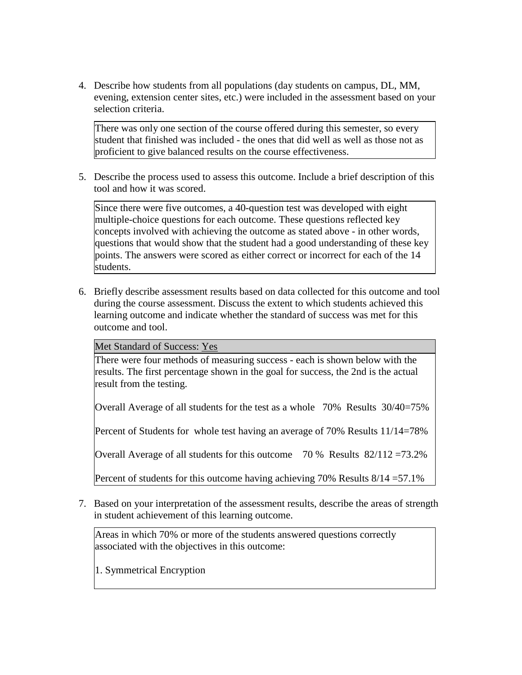4. Describe how students from all populations (day students on campus, DL, MM, evening, extension center sites, etc.) were included in the assessment based on your selection criteria.

There was only one section of the course offered during this semester, so every student that finished was included - the ones that did well as well as those not as proficient to give balanced results on the course effectiveness.

5. Describe the process used to assess this outcome. Include a brief description of this tool and how it was scored.

Since there were five outcomes, a 40-question test was developed with eight multiple-choice questions for each outcome. These questions reflected key concepts involved with achieving the outcome as stated above - in other words, questions that would show that the student had a good understanding of these key points. The answers were scored as either correct or incorrect for each of the 14 students.

6. Briefly describe assessment results based on data collected for this outcome and tool during the course assessment. Discuss the extent to which students achieved this learning outcome and indicate whether the standard of success was met for this outcome and tool.

Met Standard of Success: Yes

There were four methods of measuring success - each is shown below with the results. The first percentage shown in the goal for success, the 2nd is the actual result from the testing.

Overall Average of all students for the test as a whole 70% Results 30/40=75%

Percent of Students for whole test having an average of 70% Results 11/14=78%

Overall Average of all students for this outcome 70 % Results 82/112 =73.2%

Percent of students for this outcome having achieving 70% Results  $8/14 = 57.1\%$ 

7. Based on your interpretation of the assessment results, describe the areas of strength in student achievement of this learning outcome.

Areas in which 70% or more of the students answered questions correctly associated with the objectives in this outcome:

1. Symmetrical Encryption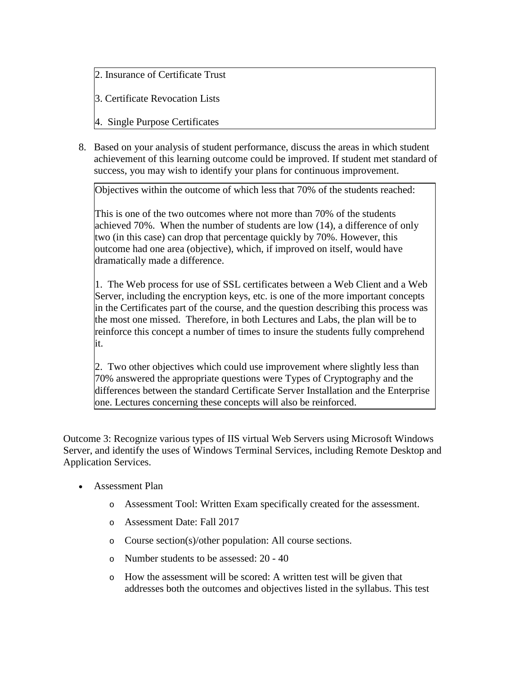2. Insurance of Certificate Trust

3. Certificate Revocation Lists

4. Single Purpose Certificates

8. Based on your analysis of student performance, discuss the areas in which student achievement of this learning outcome could be improved. If student met standard of success, you may wish to identify your plans for continuous improvement.

Objectives within the outcome of which less that 70% of the students reached:

This is one of the two outcomes where not more than 70% of the students achieved 70%. When the number of students are low (14), a difference of only two (in this case) can drop that percentage quickly by 70%. However, this outcome had one area (objective), which, if improved on itself, would have dramatically made a difference.

1. The Web process for use of SSL certificates between a Web Client and a Web Server, including the encryption keys, etc. is one of the more important concepts in the Certificates part of the course, and the question describing this process was the most one missed. Therefore, in both Lectures and Labs, the plan will be to reinforce this concept a number of times to insure the students fully comprehend it.

2. Two other objectives which could use improvement where slightly less than 70% answered the appropriate questions were Types of Cryptography and the differences between the standard Certificate Server Installation and the Enterprise one. Lectures concerning these concepts will also be reinforced.

Outcome 3: Recognize various types of IIS virtual Web Servers using Microsoft Windows Server, and identify the uses of Windows Terminal Services, including Remote Desktop and Application Services.

- Assessment Plan
	- o Assessment Tool: Written Exam specifically created for the assessment.
	- o Assessment Date: Fall 2017
	- o Course section(s)/other population: All course sections.
	- o Number students to be assessed: 20 40
	- o How the assessment will be scored: A written test will be given that addresses both the outcomes and objectives listed in the syllabus. This test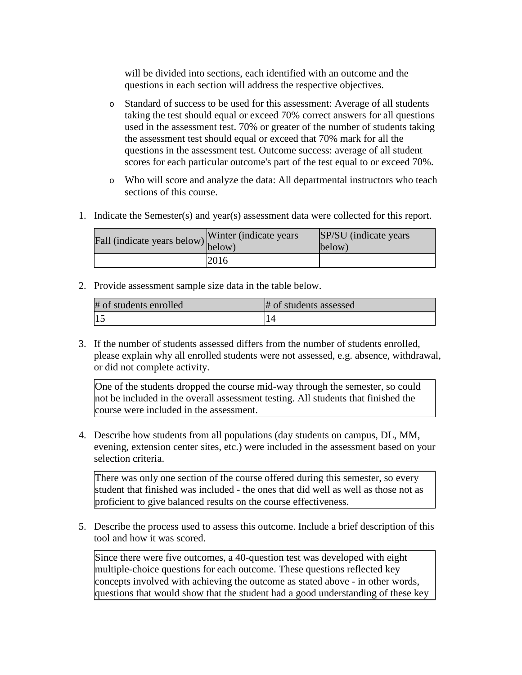will be divided into sections, each identified with an outcome and the questions in each section will address the respective objectives.

- o Standard of success to be used for this assessment: Average of all students taking the test should equal or exceed 70% correct answers for all questions used in the assessment test. 70% or greater of the number of students taking the assessment test should equal or exceed that 70% mark for all the questions in the assessment test. Outcome success: average of all student scores for each particular outcome's part of the test equal to or exceed 70%.
- o Who will score and analyze the data: All departmental instructors who teach sections of this course.
- 1. Indicate the Semester(s) and year(s) assessment data were collected for this report.

| riall (indicate years below) below) | Winter (indicate years) | SP/SU (indicate years)<br>below) |
|-------------------------------------|-------------------------|----------------------------------|
|                                     | 2016                    |                                  |

2. Provide assessment sample size data in the table below.

| # of students enrolled | # of students assessed |
|------------------------|------------------------|
|                        |                        |

3. If the number of students assessed differs from the number of students enrolled, please explain why all enrolled students were not assessed, e.g. absence, withdrawal, or did not complete activity.

One of the students dropped the course mid-way through the semester, so could not be included in the overall assessment testing. All students that finished the course were included in the assessment.

4. Describe how students from all populations (day students on campus, DL, MM, evening, extension center sites, etc.) were included in the assessment based on your selection criteria.

There was only one section of the course offered during this semester, so every student that finished was included - the ones that did well as well as those not as proficient to give balanced results on the course effectiveness.

5. Describe the process used to assess this outcome. Include a brief description of this tool and how it was scored.

Since there were five outcomes, a 40-question test was developed with eight multiple-choice questions for each outcome. These questions reflected key concepts involved with achieving the outcome as stated above - in other words, questions that would show that the student had a good understanding of these key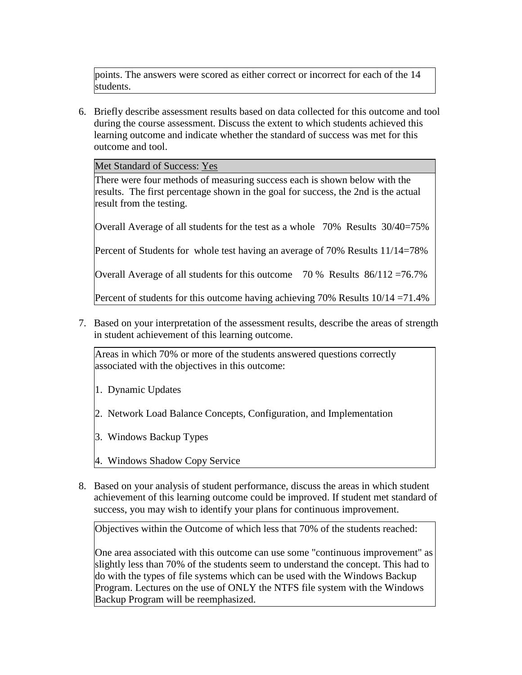points. The answers were scored as either correct or incorrect for each of the 14 students.

6. Briefly describe assessment results based on data collected for this outcome and tool during the course assessment. Discuss the extent to which students achieved this learning outcome and indicate whether the standard of success was met for this outcome and tool.

Met Standard of Success: Yes

There were four methods of measuring success each is shown below with the results. The first percentage shown in the goal for success, the 2nd is the actual result from the testing.

Overall Average of all students for the test as a whole 70% Results 30/40=75%

Percent of Students for whole test having an average of 70% Results 11/14=78%

Overall Average of all students for this outcome 70 % Results 86/112 =76.7%

Percent of students for this outcome having achieving 70% Results 10/14 = 71.4%

7. Based on your interpretation of the assessment results, describe the areas of strength in student achievement of this learning outcome.

Areas in which 70% or more of the students answered questions correctly associated with the objectives in this outcome:

- 1. Dynamic Updates
- 2. Network Load Balance Concepts, Configuration, and Implementation
- 3. Windows Backup Types
- 4. Windows Shadow Copy Service
- 8. Based on your analysis of student performance, discuss the areas in which student achievement of this learning outcome could be improved. If student met standard of success, you may wish to identify your plans for continuous improvement.

Objectives within the Outcome of which less that 70% of the students reached:

One area associated with this outcome can use some "continuous improvement" as slightly less than 70% of the students seem to understand the concept. This had to do with the types of file systems which can be used with the Windows Backup Program. Lectures on the use of ONLY the NTFS file system with the Windows Backup Program will be reemphasized.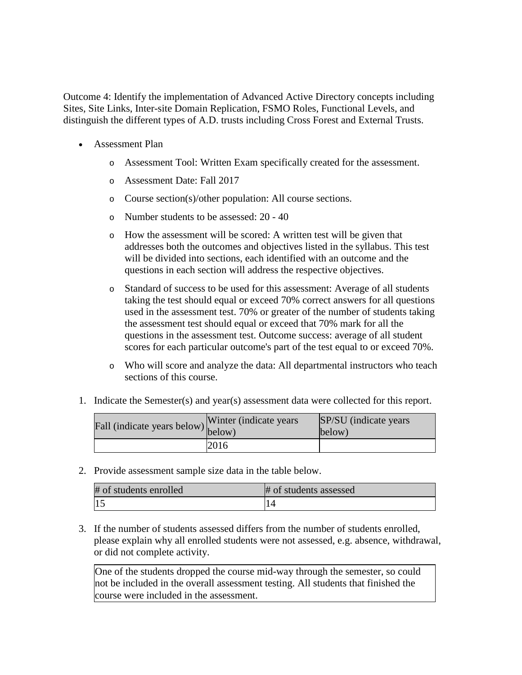Outcome 4: Identify the implementation of Advanced Active Directory concepts including Sites, Site Links, Inter-site Domain Replication, FSMO Roles, Functional Levels, and distinguish the different types of A.D. trusts including Cross Forest and External Trusts.

- Assessment Plan
	- o Assessment Tool: Written Exam specifically created for the assessment.
	- o Assessment Date: Fall 2017
	- o Course section(s)/other population: All course sections.
	- o Number students to be assessed: 20 40
	- o How the assessment will be scored: A written test will be given that addresses both the outcomes and objectives listed in the syllabus. This test will be divided into sections, each identified with an outcome and the questions in each section will address the respective objectives.
	- o Standard of success to be used for this assessment: Average of all students taking the test should equal or exceed 70% correct answers for all questions used in the assessment test. 70% or greater of the number of students taking the assessment test should equal or exceed that 70% mark for all the questions in the assessment test. Outcome success: average of all student scores for each particular outcome's part of the test equal to or exceed 70%.
	- o Who will score and analyze the data: All departmental instructors who teach sections of this course.
- 1. Indicate the Semester(s) and year(s) assessment data were collected for this report.

| Fall (indicate years below) below) | Winter (indicate years) | SP/SU (indicate years)<br>below) |
|------------------------------------|-------------------------|----------------------------------|
|                                    | 2016                    |                                  |

2. Provide assessment sample size data in the table below.

| # of students enrolled | # of students assessed |
|------------------------|------------------------|
| 1.5                    |                        |

3. If the number of students assessed differs from the number of students enrolled, please explain why all enrolled students were not assessed, e.g. absence, withdrawal, or did not complete activity.

One of the students dropped the course mid-way through the semester, so could not be included in the overall assessment testing. All students that finished the course were included in the assessment.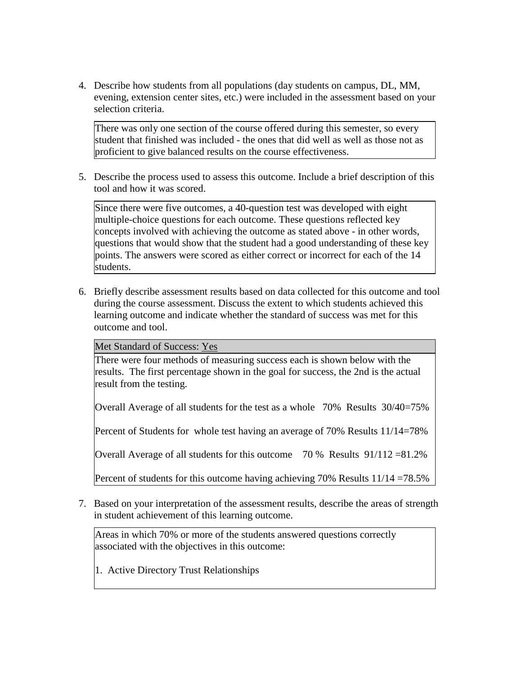4. Describe how students from all populations (day students on campus, DL, MM, evening, extension center sites, etc.) were included in the assessment based on your selection criteria.

There was only one section of the course offered during this semester, so every student that finished was included - the ones that did well as well as those not as proficient to give balanced results on the course effectiveness.

5. Describe the process used to assess this outcome. Include a brief description of this tool and how it was scored.

Since there were five outcomes, a 40-question test was developed with eight multiple-choice questions for each outcome. These questions reflected key concepts involved with achieving the outcome as stated above - in other words, questions that would show that the student had a good understanding of these key points. The answers were scored as either correct or incorrect for each of the 14 students.

6. Briefly describe assessment results based on data collected for this outcome and tool during the course assessment. Discuss the extent to which students achieved this learning outcome and indicate whether the standard of success was met for this outcome and tool.

Met Standard of Success: Yes

There were four methods of measuring success each is shown below with the results. The first percentage shown in the goal for success, the 2nd is the actual result from the testing.

Overall Average of all students for the test as a whole 70% Results 30/40=75%

Percent of Students for whole test having an average of 70% Results 11/14=78%

Overall Average of all students for this outcome 70 % Results 91/112 =81.2%

Percent of students for this outcome having achieving 70% Results  $11/14 = 78.5\%$ 

7. Based on your interpretation of the assessment results, describe the areas of strength in student achievement of this learning outcome.

Areas in which 70% or more of the students answered questions correctly associated with the objectives in this outcome:

1. Active Directory Trust Relationships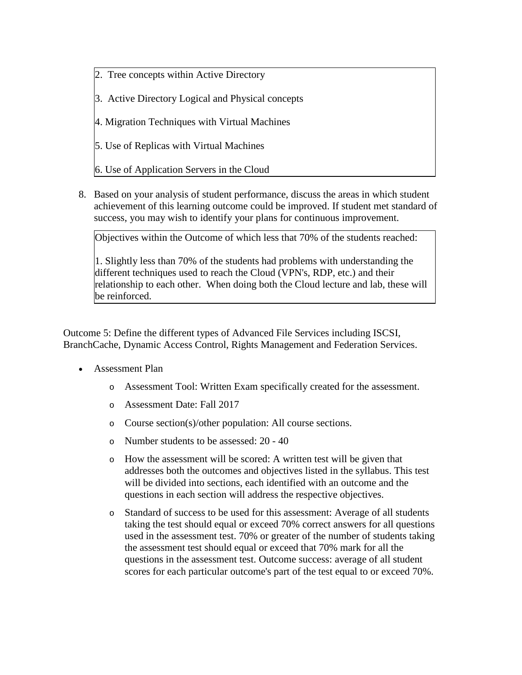- 2. Tree concepts within Active Directory
- 3. Active Directory Logical and Physical concepts
- 4. Migration Techniques with Virtual Machines
- 5. Use of Replicas with Virtual Machines
- 6. Use of Application Servers in the Cloud
- 8. Based on your analysis of student performance, discuss the areas in which student achievement of this learning outcome could be improved. If student met standard of success, you may wish to identify your plans for continuous improvement.

Objectives within the Outcome of which less that 70% of the students reached:

1. Slightly less than 70% of the students had problems with understanding the different techniques used to reach the Cloud (VPN's, RDP, etc.) and their relationship to each other. When doing both the Cloud lecture and lab, these will be reinforced.

Outcome 5: Define the different types of Advanced File Services including ISCSI, BranchCache, Dynamic Access Control, Rights Management and Federation Services.

- Assessment Plan
	- o Assessment Tool: Written Exam specifically created for the assessment.
	- o Assessment Date: Fall 2017
	- o Course section(s)/other population: All course sections.
	- o Number students to be assessed: 20 40
	- o How the assessment will be scored: A written test will be given that addresses both the outcomes and objectives listed in the syllabus. This test will be divided into sections, each identified with an outcome and the questions in each section will address the respective objectives.
	- o Standard of success to be used for this assessment: Average of all students taking the test should equal or exceed 70% correct answers for all questions used in the assessment test. 70% or greater of the number of students taking the assessment test should equal or exceed that 70% mark for all the questions in the assessment test. Outcome success: average of all student scores for each particular outcome's part of the test equal to or exceed 70%.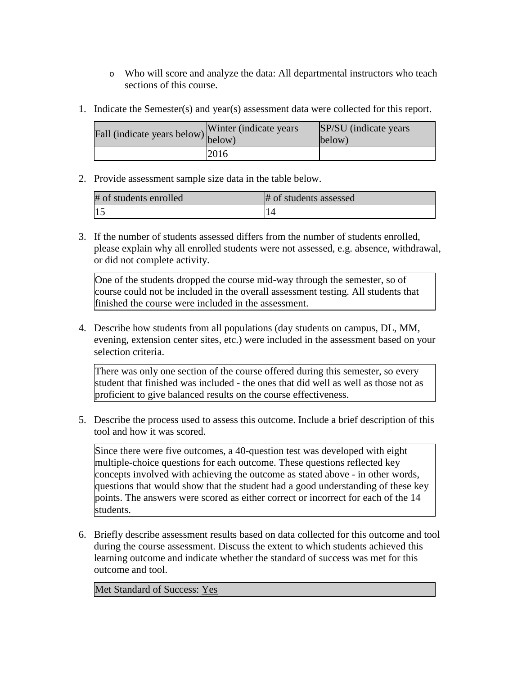- o Who will score and analyze the data: All departmental instructors who teach sections of this course.
- 1. Indicate the Semester(s) and year(s) assessment data were collected for this report.

| Fall (indicate years below) $\begin{bmatrix} w \text{ inter} \\ below \end{bmatrix}$ | Winter (indicate years) | SP/SU (indicate years)<br>below) |
|--------------------------------------------------------------------------------------|-------------------------|----------------------------------|
|                                                                                      | 2016                    |                                  |

2. Provide assessment sample size data in the table below.

| # of students enrolled | # of students assessed |
|------------------------|------------------------|
|                        |                        |

3. If the number of students assessed differs from the number of students enrolled, please explain why all enrolled students were not assessed, e.g. absence, withdrawal, or did not complete activity.

One of the students dropped the course mid-way through the semester, so of course could not be included in the overall assessment testing. All students that finished the course were included in the assessment.

4. Describe how students from all populations (day students on campus, DL, MM, evening, extension center sites, etc.) were included in the assessment based on your selection criteria.

There was only one section of the course offered during this semester, so every student that finished was included - the ones that did well as well as those not as proficient to give balanced results on the course effectiveness.

5. Describe the process used to assess this outcome. Include a brief description of this tool and how it was scored.

Since there were five outcomes, a 40-question test was developed with eight multiple-choice questions for each outcome. These questions reflected key concepts involved with achieving the outcome as stated above - in other words, questions that would show that the student had a good understanding of these key points. The answers were scored as either correct or incorrect for each of the 14 students.

6. Briefly describe assessment results based on data collected for this outcome and tool during the course assessment. Discuss the extent to which students achieved this learning outcome and indicate whether the standard of success was met for this outcome and tool.

Met Standard of Success: Yes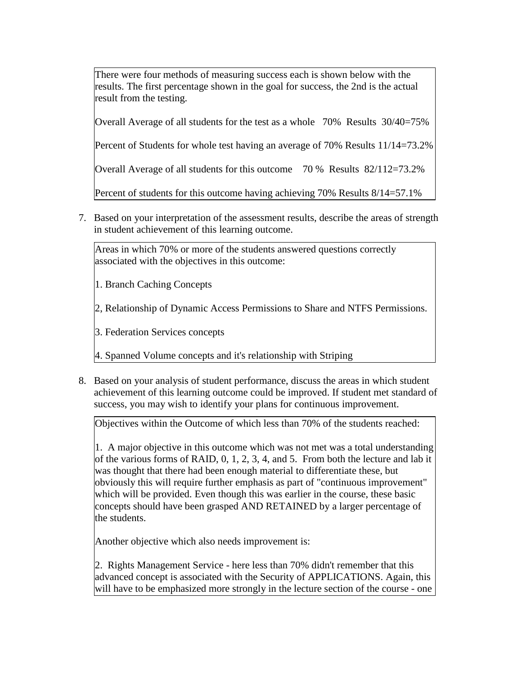There were four methods of measuring success each is shown below with the results. The first percentage shown in the goal for success, the 2nd is the actual result from the testing.

Overall Average of all students for the test as a whole 70% Results 30/40=75%

Percent of Students for whole test having an average of 70% Results 11/14=73.2%

Overall Average of all students for this outcome 70 % Results 82/112=73.2%

Percent of students for this outcome having achieving 70% Results 8/14=57.1%

7. Based on your interpretation of the assessment results, describe the areas of strength in student achievement of this learning outcome.

Areas in which 70% or more of the students answered questions correctly associated with the objectives in this outcome:

1. Branch Caching Concepts

2, Relationship of Dynamic Access Permissions to Share and NTFS Permissions.

3. Federation Services concepts

4. Spanned Volume concepts and it's relationship with Striping

8. Based on your analysis of student performance, discuss the areas in which student achievement of this learning outcome could be improved. If student met standard of success, you may wish to identify your plans for continuous improvement.

Objectives within the Outcome of which less than 70% of the students reached:

1. A major objective in this outcome which was not met was a total understanding of the various forms of RAID, 0, 1, 2, 3, 4, and 5. From both the lecture and lab it was thought that there had been enough material to differentiate these, but obviously this will require further emphasis as part of "continuous improvement" which will be provided. Even though this was earlier in the course, these basic concepts should have been grasped AND RETAINED by a larger percentage of the students.

Another objective which also needs improvement is:

2. Rights Management Service - here less than 70% didn't remember that this advanced concept is associated with the Security of APPLICATIONS. Again, this will have to be emphasized more strongly in the lecture section of the course - one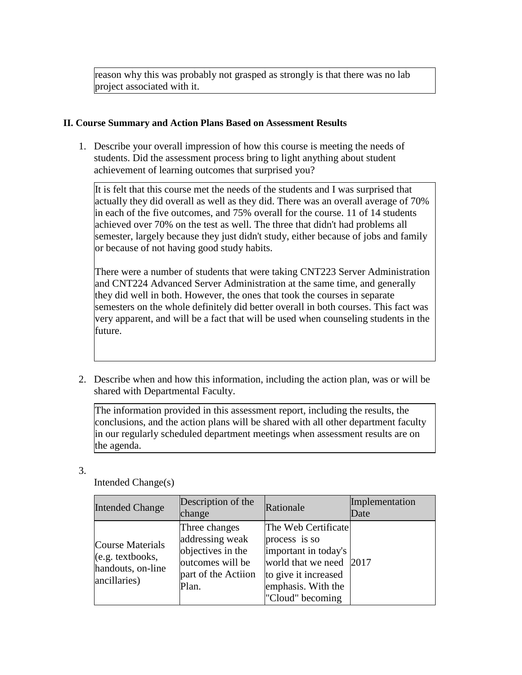reason why this was probably not grasped as strongly is that there was no lab project associated with it.

## **II. Course Summary and Action Plans Based on Assessment Results**

1. Describe your overall impression of how this course is meeting the needs of students. Did the assessment process bring to light anything about student achievement of learning outcomes that surprised you?

It is felt that this course met the needs of the students and I was surprised that actually they did overall as well as they did. There was an overall average of 70% in each of the five outcomes, and 75% overall for the course. 11 of 14 students achieved over 70% on the test as well. The three that didn't had problems all semester, largely because they just didn't study, either because of jobs and family or because of not having good study habits.

There were a number of students that were taking CNT223 Server Administration and CNT224 Advanced Server Administration at the same time, and generally they did well in both. However, the ones that took the courses in separate semesters on the whole definitely did better overall in both courses. This fact was very apparent, and will be a fact that will be used when counseling students in the future.

2. Describe when and how this information, including the action plan, was or will be shared with Departmental Faculty.

The information provided in this assessment report, including the results, the conclusions, and the action plans will be shared with all other department faculty in our regularly scheduled department meetings when assessment results are on the agenda.

3.

| <b>Intended Change</b>                                                                    | Description of the<br>change                                                                              | Rationale                                                                                                                                                 | Implementation<br>Date |
|-------------------------------------------------------------------------------------------|-----------------------------------------------------------------------------------------------------------|-----------------------------------------------------------------------------------------------------------------------------------------------------------|------------------------|
| <b>Course Materials</b><br>$(e.g. \text{textbooks},$<br>handouts, on-line<br>ancillaries) | Three changes<br>addressing weak<br>objectives in the<br>outcomes will be<br>part of the Actiion<br>Plan. | The Web Certificate<br>process is so<br>important in today's<br>world that we need 2017<br>to give it increased<br>emphasis. With the<br>"Cloud" becoming |                        |

Intended Change(s)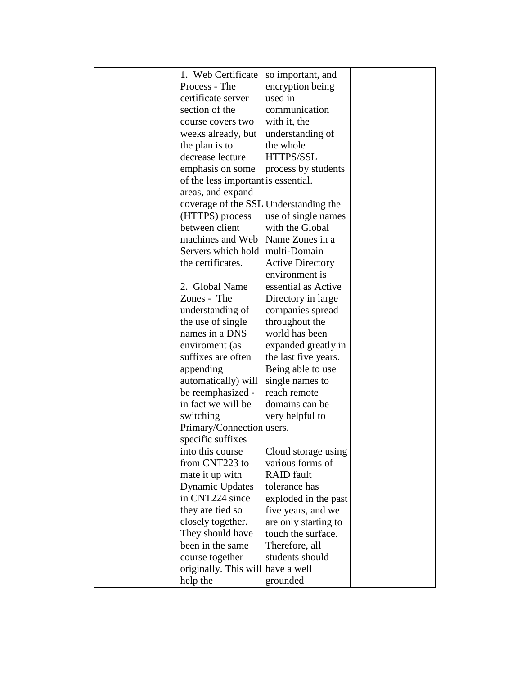| 1. Web Certificate<br>so important, and<br>encryption being<br>Process - The<br>used in<br>certificate server<br>communication<br>section of the<br>with it, the<br>course covers two<br>weeks already, but<br>understanding of<br>the plan is to<br>the whole<br>decrease lecture<br>HTTPS/SSL<br>emphasis on some<br>process by students<br>of the less important is essential.<br>areas, and expand<br>coverage of the SSL Understanding the<br>use of single names<br>(HTTPS) process<br>between client<br>with the Global<br>machines and Web<br>Name Zones in a<br>Servers which hold multi-Domain<br>the certificates.<br><b>Active Directory</b><br>environment is<br>2. Global Name<br>essential as Active<br>Zones - The<br>Directory in large<br>understanding of<br>companies spread<br>the use of single<br>throughout the<br>names in a DNS<br>world has been<br>expanded greatly in<br>enviroment (as<br>suffixes are often<br>the last five years.<br>Being able to use<br>appending<br>automatically) will<br>single names to<br>be reemphasized -<br>reach remote<br>in fact we will be<br>domains can be<br>switching<br>very helpful to<br>Primary/Connection users.<br>specific suffixes<br>Cloud storage using<br>into this course<br>from CNT223 to<br>various forms of<br><b>RAID</b> fault<br>mate it up with<br>tolerance has<br>Dynamic Updates<br>in CNT224 since<br>exploded in the past<br>they are tied so<br>five years, and we<br>closely together.<br>are only starting to<br>They should have<br>touch the surface.<br>been in the same<br>Therefore, all<br>course together<br>students should<br>originally. This will have a well<br>help the<br>grounded |  |  |
|-------------------------------------------------------------------------------------------------------------------------------------------------------------------------------------------------------------------------------------------------------------------------------------------------------------------------------------------------------------------------------------------------------------------------------------------------------------------------------------------------------------------------------------------------------------------------------------------------------------------------------------------------------------------------------------------------------------------------------------------------------------------------------------------------------------------------------------------------------------------------------------------------------------------------------------------------------------------------------------------------------------------------------------------------------------------------------------------------------------------------------------------------------------------------------------------------------------------------------------------------------------------------------------------------------------------------------------------------------------------------------------------------------------------------------------------------------------------------------------------------------------------------------------------------------------------------------------------------------------------------------------------------------------------------------------------------|--|--|
|                                                                                                                                                                                                                                                                                                                                                                                                                                                                                                                                                                                                                                                                                                                                                                                                                                                                                                                                                                                                                                                                                                                                                                                                                                                                                                                                                                                                                                                                                                                                                                                                                                                                                                 |  |  |
|                                                                                                                                                                                                                                                                                                                                                                                                                                                                                                                                                                                                                                                                                                                                                                                                                                                                                                                                                                                                                                                                                                                                                                                                                                                                                                                                                                                                                                                                                                                                                                                                                                                                                                 |  |  |
|                                                                                                                                                                                                                                                                                                                                                                                                                                                                                                                                                                                                                                                                                                                                                                                                                                                                                                                                                                                                                                                                                                                                                                                                                                                                                                                                                                                                                                                                                                                                                                                                                                                                                                 |  |  |
|                                                                                                                                                                                                                                                                                                                                                                                                                                                                                                                                                                                                                                                                                                                                                                                                                                                                                                                                                                                                                                                                                                                                                                                                                                                                                                                                                                                                                                                                                                                                                                                                                                                                                                 |  |  |
|                                                                                                                                                                                                                                                                                                                                                                                                                                                                                                                                                                                                                                                                                                                                                                                                                                                                                                                                                                                                                                                                                                                                                                                                                                                                                                                                                                                                                                                                                                                                                                                                                                                                                                 |  |  |
|                                                                                                                                                                                                                                                                                                                                                                                                                                                                                                                                                                                                                                                                                                                                                                                                                                                                                                                                                                                                                                                                                                                                                                                                                                                                                                                                                                                                                                                                                                                                                                                                                                                                                                 |  |  |
|                                                                                                                                                                                                                                                                                                                                                                                                                                                                                                                                                                                                                                                                                                                                                                                                                                                                                                                                                                                                                                                                                                                                                                                                                                                                                                                                                                                                                                                                                                                                                                                                                                                                                                 |  |  |
|                                                                                                                                                                                                                                                                                                                                                                                                                                                                                                                                                                                                                                                                                                                                                                                                                                                                                                                                                                                                                                                                                                                                                                                                                                                                                                                                                                                                                                                                                                                                                                                                                                                                                                 |  |  |
|                                                                                                                                                                                                                                                                                                                                                                                                                                                                                                                                                                                                                                                                                                                                                                                                                                                                                                                                                                                                                                                                                                                                                                                                                                                                                                                                                                                                                                                                                                                                                                                                                                                                                                 |  |  |
|                                                                                                                                                                                                                                                                                                                                                                                                                                                                                                                                                                                                                                                                                                                                                                                                                                                                                                                                                                                                                                                                                                                                                                                                                                                                                                                                                                                                                                                                                                                                                                                                                                                                                                 |  |  |
|                                                                                                                                                                                                                                                                                                                                                                                                                                                                                                                                                                                                                                                                                                                                                                                                                                                                                                                                                                                                                                                                                                                                                                                                                                                                                                                                                                                                                                                                                                                                                                                                                                                                                                 |  |  |
|                                                                                                                                                                                                                                                                                                                                                                                                                                                                                                                                                                                                                                                                                                                                                                                                                                                                                                                                                                                                                                                                                                                                                                                                                                                                                                                                                                                                                                                                                                                                                                                                                                                                                                 |  |  |
|                                                                                                                                                                                                                                                                                                                                                                                                                                                                                                                                                                                                                                                                                                                                                                                                                                                                                                                                                                                                                                                                                                                                                                                                                                                                                                                                                                                                                                                                                                                                                                                                                                                                                                 |  |  |
|                                                                                                                                                                                                                                                                                                                                                                                                                                                                                                                                                                                                                                                                                                                                                                                                                                                                                                                                                                                                                                                                                                                                                                                                                                                                                                                                                                                                                                                                                                                                                                                                                                                                                                 |  |  |
|                                                                                                                                                                                                                                                                                                                                                                                                                                                                                                                                                                                                                                                                                                                                                                                                                                                                                                                                                                                                                                                                                                                                                                                                                                                                                                                                                                                                                                                                                                                                                                                                                                                                                                 |  |  |
|                                                                                                                                                                                                                                                                                                                                                                                                                                                                                                                                                                                                                                                                                                                                                                                                                                                                                                                                                                                                                                                                                                                                                                                                                                                                                                                                                                                                                                                                                                                                                                                                                                                                                                 |  |  |
|                                                                                                                                                                                                                                                                                                                                                                                                                                                                                                                                                                                                                                                                                                                                                                                                                                                                                                                                                                                                                                                                                                                                                                                                                                                                                                                                                                                                                                                                                                                                                                                                                                                                                                 |  |  |
|                                                                                                                                                                                                                                                                                                                                                                                                                                                                                                                                                                                                                                                                                                                                                                                                                                                                                                                                                                                                                                                                                                                                                                                                                                                                                                                                                                                                                                                                                                                                                                                                                                                                                                 |  |  |
|                                                                                                                                                                                                                                                                                                                                                                                                                                                                                                                                                                                                                                                                                                                                                                                                                                                                                                                                                                                                                                                                                                                                                                                                                                                                                                                                                                                                                                                                                                                                                                                                                                                                                                 |  |  |
|                                                                                                                                                                                                                                                                                                                                                                                                                                                                                                                                                                                                                                                                                                                                                                                                                                                                                                                                                                                                                                                                                                                                                                                                                                                                                                                                                                                                                                                                                                                                                                                                                                                                                                 |  |  |
|                                                                                                                                                                                                                                                                                                                                                                                                                                                                                                                                                                                                                                                                                                                                                                                                                                                                                                                                                                                                                                                                                                                                                                                                                                                                                                                                                                                                                                                                                                                                                                                                                                                                                                 |  |  |
|                                                                                                                                                                                                                                                                                                                                                                                                                                                                                                                                                                                                                                                                                                                                                                                                                                                                                                                                                                                                                                                                                                                                                                                                                                                                                                                                                                                                                                                                                                                                                                                                                                                                                                 |  |  |
|                                                                                                                                                                                                                                                                                                                                                                                                                                                                                                                                                                                                                                                                                                                                                                                                                                                                                                                                                                                                                                                                                                                                                                                                                                                                                                                                                                                                                                                                                                                                                                                                                                                                                                 |  |  |
|                                                                                                                                                                                                                                                                                                                                                                                                                                                                                                                                                                                                                                                                                                                                                                                                                                                                                                                                                                                                                                                                                                                                                                                                                                                                                                                                                                                                                                                                                                                                                                                                                                                                                                 |  |  |
|                                                                                                                                                                                                                                                                                                                                                                                                                                                                                                                                                                                                                                                                                                                                                                                                                                                                                                                                                                                                                                                                                                                                                                                                                                                                                                                                                                                                                                                                                                                                                                                                                                                                                                 |  |  |
|                                                                                                                                                                                                                                                                                                                                                                                                                                                                                                                                                                                                                                                                                                                                                                                                                                                                                                                                                                                                                                                                                                                                                                                                                                                                                                                                                                                                                                                                                                                                                                                                                                                                                                 |  |  |
|                                                                                                                                                                                                                                                                                                                                                                                                                                                                                                                                                                                                                                                                                                                                                                                                                                                                                                                                                                                                                                                                                                                                                                                                                                                                                                                                                                                                                                                                                                                                                                                                                                                                                                 |  |  |
|                                                                                                                                                                                                                                                                                                                                                                                                                                                                                                                                                                                                                                                                                                                                                                                                                                                                                                                                                                                                                                                                                                                                                                                                                                                                                                                                                                                                                                                                                                                                                                                                                                                                                                 |  |  |
|                                                                                                                                                                                                                                                                                                                                                                                                                                                                                                                                                                                                                                                                                                                                                                                                                                                                                                                                                                                                                                                                                                                                                                                                                                                                                                                                                                                                                                                                                                                                                                                                                                                                                                 |  |  |
|                                                                                                                                                                                                                                                                                                                                                                                                                                                                                                                                                                                                                                                                                                                                                                                                                                                                                                                                                                                                                                                                                                                                                                                                                                                                                                                                                                                                                                                                                                                                                                                                                                                                                                 |  |  |
|                                                                                                                                                                                                                                                                                                                                                                                                                                                                                                                                                                                                                                                                                                                                                                                                                                                                                                                                                                                                                                                                                                                                                                                                                                                                                                                                                                                                                                                                                                                                                                                                                                                                                                 |  |  |
|                                                                                                                                                                                                                                                                                                                                                                                                                                                                                                                                                                                                                                                                                                                                                                                                                                                                                                                                                                                                                                                                                                                                                                                                                                                                                                                                                                                                                                                                                                                                                                                                                                                                                                 |  |  |
|                                                                                                                                                                                                                                                                                                                                                                                                                                                                                                                                                                                                                                                                                                                                                                                                                                                                                                                                                                                                                                                                                                                                                                                                                                                                                                                                                                                                                                                                                                                                                                                                                                                                                                 |  |  |
|                                                                                                                                                                                                                                                                                                                                                                                                                                                                                                                                                                                                                                                                                                                                                                                                                                                                                                                                                                                                                                                                                                                                                                                                                                                                                                                                                                                                                                                                                                                                                                                                                                                                                                 |  |  |
|                                                                                                                                                                                                                                                                                                                                                                                                                                                                                                                                                                                                                                                                                                                                                                                                                                                                                                                                                                                                                                                                                                                                                                                                                                                                                                                                                                                                                                                                                                                                                                                                                                                                                                 |  |  |
|                                                                                                                                                                                                                                                                                                                                                                                                                                                                                                                                                                                                                                                                                                                                                                                                                                                                                                                                                                                                                                                                                                                                                                                                                                                                                                                                                                                                                                                                                                                                                                                                                                                                                                 |  |  |
|                                                                                                                                                                                                                                                                                                                                                                                                                                                                                                                                                                                                                                                                                                                                                                                                                                                                                                                                                                                                                                                                                                                                                                                                                                                                                                                                                                                                                                                                                                                                                                                                                                                                                                 |  |  |
|                                                                                                                                                                                                                                                                                                                                                                                                                                                                                                                                                                                                                                                                                                                                                                                                                                                                                                                                                                                                                                                                                                                                                                                                                                                                                                                                                                                                                                                                                                                                                                                                                                                                                                 |  |  |
|                                                                                                                                                                                                                                                                                                                                                                                                                                                                                                                                                                                                                                                                                                                                                                                                                                                                                                                                                                                                                                                                                                                                                                                                                                                                                                                                                                                                                                                                                                                                                                                                                                                                                                 |  |  |
|                                                                                                                                                                                                                                                                                                                                                                                                                                                                                                                                                                                                                                                                                                                                                                                                                                                                                                                                                                                                                                                                                                                                                                                                                                                                                                                                                                                                                                                                                                                                                                                                                                                                                                 |  |  |
|                                                                                                                                                                                                                                                                                                                                                                                                                                                                                                                                                                                                                                                                                                                                                                                                                                                                                                                                                                                                                                                                                                                                                                                                                                                                                                                                                                                                                                                                                                                                                                                                                                                                                                 |  |  |
|                                                                                                                                                                                                                                                                                                                                                                                                                                                                                                                                                                                                                                                                                                                                                                                                                                                                                                                                                                                                                                                                                                                                                                                                                                                                                                                                                                                                                                                                                                                                                                                                                                                                                                 |  |  |
|                                                                                                                                                                                                                                                                                                                                                                                                                                                                                                                                                                                                                                                                                                                                                                                                                                                                                                                                                                                                                                                                                                                                                                                                                                                                                                                                                                                                                                                                                                                                                                                                                                                                                                 |  |  |
|                                                                                                                                                                                                                                                                                                                                                                                                                                                                                                                                                                                                                                                                                                                                                                                                                                                                                                                                                                                                                                                                                                                                                                                                                                                                                                                                                                                                                                                                                                                                                                                                                                                                                                 |  |  |